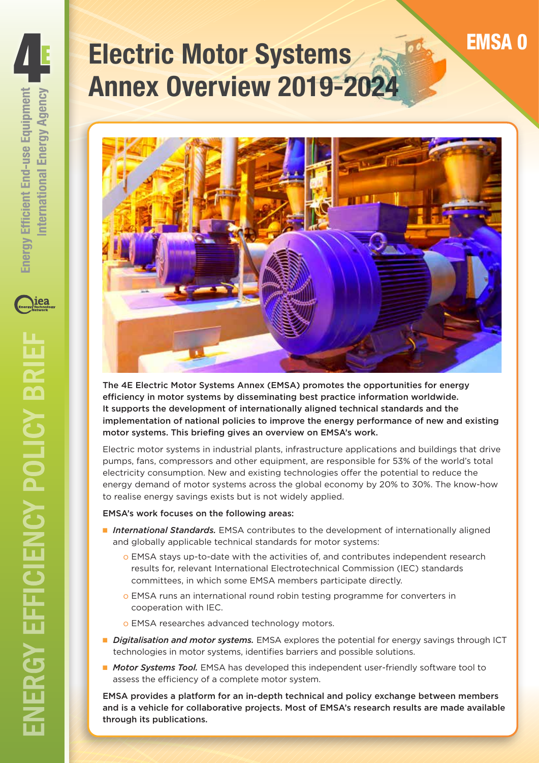# **Electric Motor Systems Annex Overview 2019-2024**



The 4E Electric Motor Systems Annex (EMSA) promotes the opportunities for energy efficiency in motor systems by disseminating best practice information worldwide. It supports the development of internationally aligned technical standards and the implementation of national policies to improve the energy performance of new and existing motor systems. This briefing gives an overview on EMSA's work.

Electric motor systems in industrial plants, infrastructure applications and buildings that drive pumps, fans, compressors and other equipment, are responsible for 53% of the world's total electricity consumption. New and existing technologies offer the potential to reduce the energy demand of motor systems across the global economy by 20% to 30%. The know-how to realise energy savings exists but is not widely applied.

#### EMSA's work focuses on the following areas:

- *International Standards.* EMSA contributes to the development of internationally aligned and globally applicable technical standards for motor systems:
	- o EMSA stays up-to-date with the activities of, and contributes independent research results for, relevant International Electrotechnical Commission (IEC) standards committees, in which some EMSA members participate directly.
	- o EMSA runs an international round robin testing programme for converters in cooperation with IEC.
	- o EMSA researches advanced technology motors.
- *Digitalisation and motor systems.* EMSA explores the potential for energy savings through ICT technologies in motor systems, identifies barriers and possible solutions.
- *Motor Systems Tool.* EMSA has developed this independent user-friendly software tool to assess the efficiency of a complete motor system.

EMSA provides a platform for an in-depth technical and policy exchange between members and is a vehicle for collaborative projects. Most of EMSA's research results are made available through its publications.

nternational Energy Agency